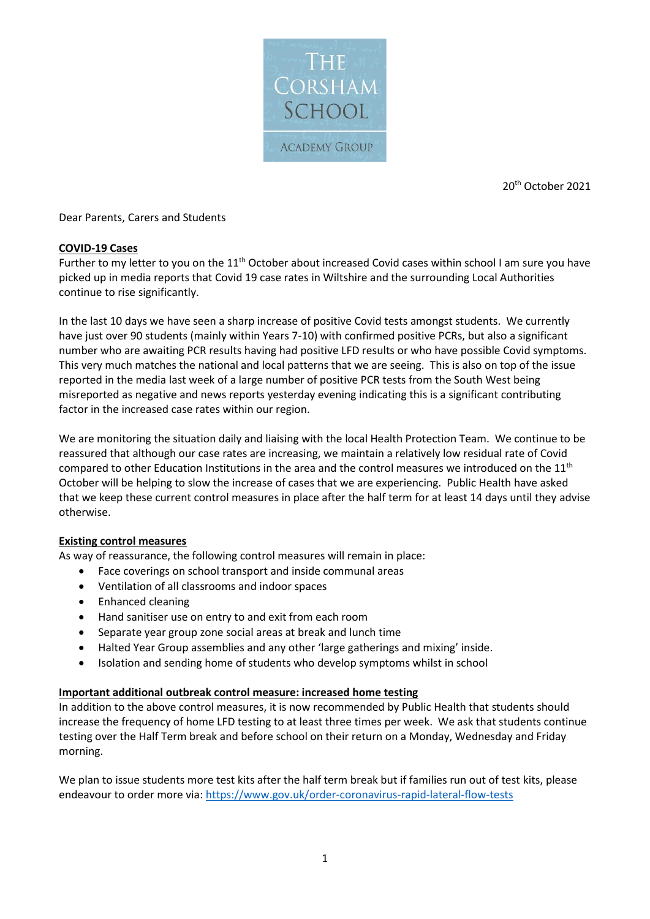

20th October 2021

Dear Parents, Carers and Students

## **COVID-19 Cases**

Further to my letter to you on the 11<sup>th</sup> October about increased Covid cases within school I am sure you have picked up in media reports that Covid 19 case rates in Wiltshire and the surrounding Local Authorities continue to rise significantly.

In the last 10 days we have seen a sharp increase of positive Covid tests amongst students. We currently have just over 90 students (mainly within Years 7-10) with confirmed positive PCRs, but also a significant number who are awaiting PCR results having had positive LFD results or who have possible Covid symptoms. This very much matches the national and local patterns that we are seeing. This is also on top of the issue reported in the media last week of a large number of positive PCR tests from the South West being misreported as negative and news reports yesterday evening indicating this is a significant contributing factor in the increased case rates within our region.

We are monitoring the situation daily and liaising with the local Health Protection Team. We continue to be reassured that although our case rates are increasing, we maintain a relatively low residual rate of Covid compared to other Education Institutions in the area and the control measures we introduced on the 11<sup>th</sup> October will be helping to slow the increase of cases that we are experiencing. Public Health have asked that we keep these current control measures in place after the half term for at least 14 days until they advise otherwise.

### **Existing control measures**

As way of reassurance, the following control measures will remain in place:

- Face coverings on school transport and inside communal areas
- Ventilation of all classrooms and indoor spaces
- Enhanced cleaning
- Hand sanitiser use on entry to and exit from each room
- Separate year group zone social areas at break and lunch time
- Halted Year Group assemblies and any other 'large gatherings and mixing' inside.
- Isolation and sending home of students who develop symptoms whilst in school

### **Important additional outbreak control measure: increased home testing**

In addition to the above control measures, it is now recommended by Public Health that students should increase the frequency of home LFD testing to at least three times per week. We ask that students continue testing over the Half Term break and before school on their return on a Monday, Wednesday and Friday morning.

We plan to issue students more test kits after the half term break but if families run out of test kits, please endeavour to order more via:<https://www.gov.uk/order-coronavirus-rapid-lateral-flow-tests>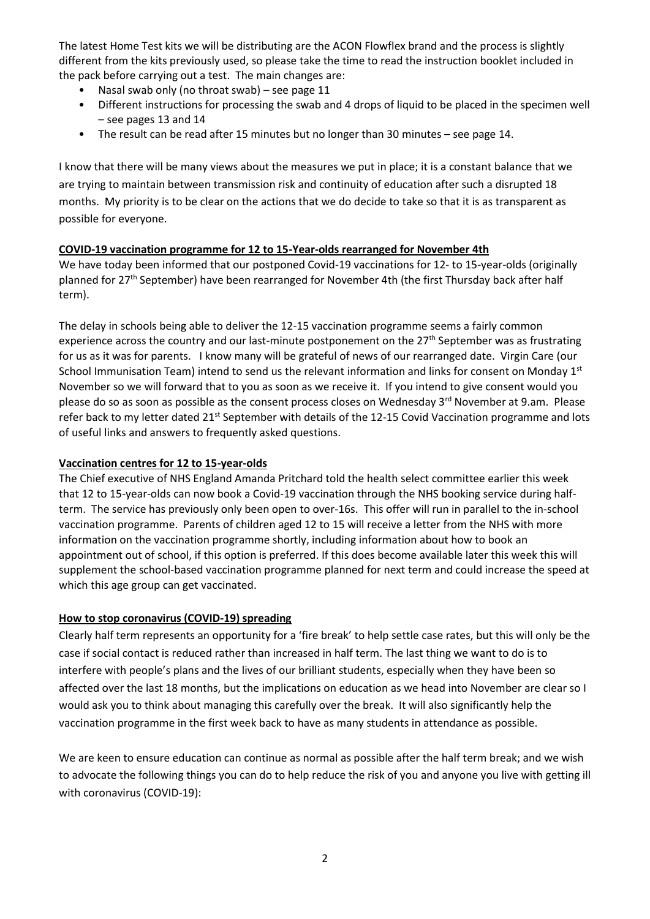The latest Home Test kits we will be distributing are the ACON Flowflex brand and the process is slightly different from the kits previously used, so please take the time to read the instruction booklet included in the pack before carrying out a test. The main changes are:

- Nasal swab only (no throat swab) see page 11
- Different instructions for processing the swab and 4 drops of liquid to be placed in the specimen well – see pages 13 and 14
- The result can be read after 15 minutes but no longer than 30 minutes see page 14.

I know that there will be many views about the measures we put in place; it is a constant balance that we are trying to maintain between transmission risk and continuity of education after such a disrupted 18 months. My priority is to be clear on the actions that we do decide to take so that it is as transparent as possible for everyone.

## **COVID-19 vaccination programme for 12 to 15-Year-olds rearranged for November 4th**

We have today been informed that our postponed Covid-19 vaccinations for 12- to 15-year-olds (originally planned for 27<sup>th</sup> September) have been rearranged for November 4th (the first Thursday back after half term).

The delay in schools being able to deliver the 12-15 vaccination programme seems a fairly common experience across the country and our last-minute postponement on the  $27<sup>th</sup>$  September was as frustrating for us as it was for parents. I know many will be grateful of news of our rearranged date. Virgin Care (our School Immunisation Team) intend to send us the relevant information and links for consent on Monday 1st November so we will forward that to you as soon as we receive it. If you intend to give consent would you please do so as soon as possible as the consent process closes on Wednesday 3<sup>rd</sup> November at 9.am. Please refer back to my letter dated 21<sup>st</sup> September with details of the 12-15 Covid Vaccination programme and lots of useful links and answers to frequently asked questions.

## **Vaccination centres for 12 to 15-year-olds**

The Chief executive of NHS England Amanda Pritchard told the health select committee earlier this week that 12 to 15-year-olds can now book a Covid-19 vaccination through the NHS booking service during halfterm. The service has previously only been open to over-16s. This offer will run in parallel to the in-school vaccination programme. Parents of children aged 12 to 15 will receive a letter from the NHS with more information on the vaccination programme shortly, including information about how to book an appointment out of school, if this option is preferred. If this does become available later this week this will supplement the school-based vaccination programme planned for next term and could increase the speed at which this age group can get vaccinated.

# **How to stop coronavirus (COVID-19) spreading**

Clearly half term represents an opportunity for a 'fire break' to help settle case rates, but this will only be the case if social contact is reduced rather than increased in half term. The last thing we want to do is to interfere with people's plans and the lives of our brilliant students, especially when they have been so affected over the last 18 months, but the implications on education as we head into November are clear so I would ask you to think about managing this carefully over the break. It will also significantly help the vaccination programme in the first week back to have as many students in attendance as possible.

We are keen to ensure education can continue as normal as possible after the half term break; and we wish to advocate the following things you can do to help reduce the risk of you and anyone you live with getting ill with coronavirus (COVID-19):